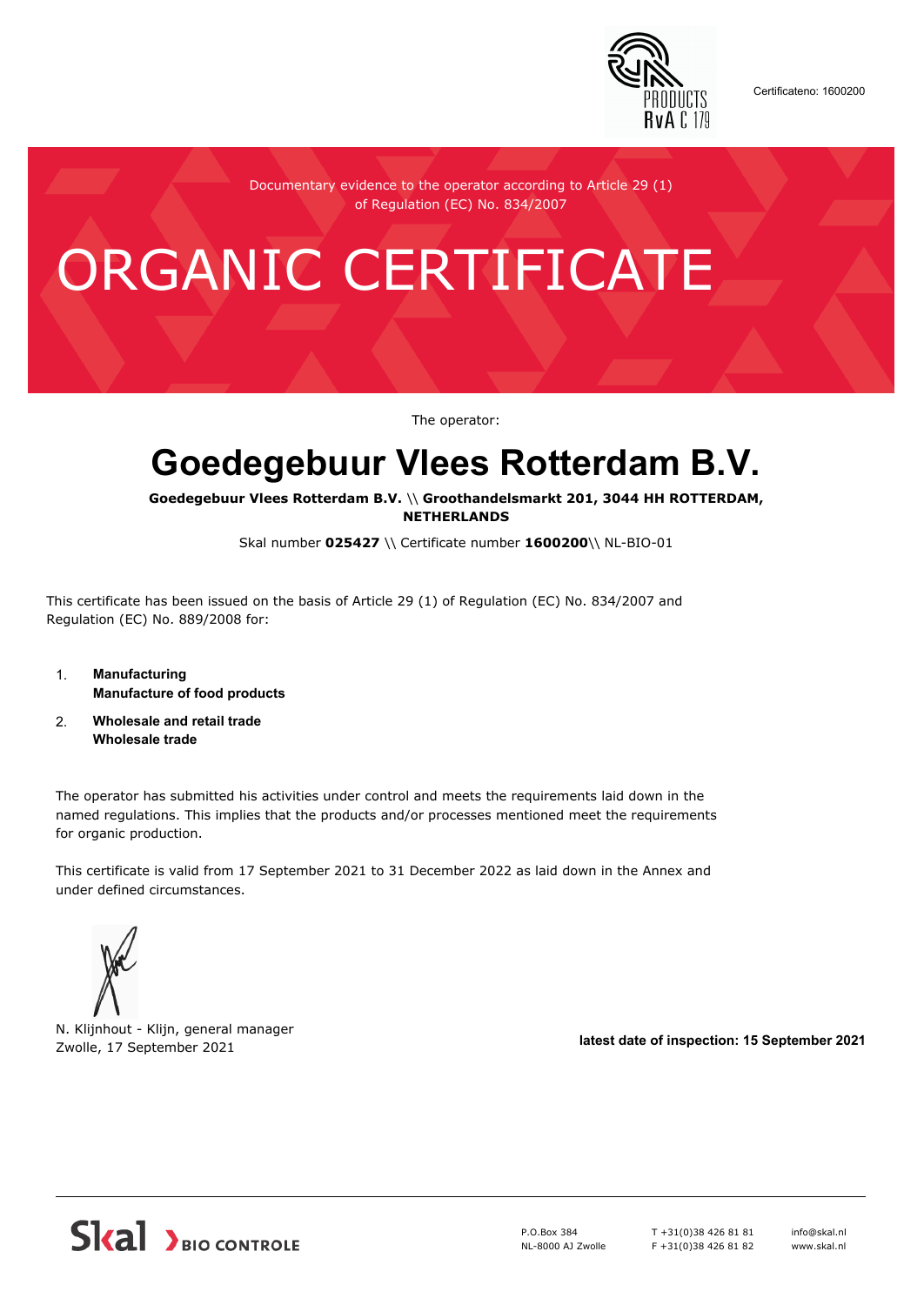

Certificateno: 1600200

Documentary evidence to the operator according to Article 29 (1) of Regulation (EC) No. 834/2007

# ORGANIC CERTIFICATE

The operator:

## **Goedegebuur Vlees Rotterdam B.V.**

**Goedegebuur Vlees Rotterdam B.V.** \\ **Groothandelsmarkt 201, 3044 HH ROTTERDAM, NETHERLANDS**

Skal number **025427** \\ Certificate number **1600200**\\ NL-BIO-01

This certificate has been issued on the basis of Article 29 (1) of Regulation (EC) No. 834/2007 and Regulation (EC) No. 889/2008 for:

- 1. **Manufacturing Manufacture of food products**
- 2. **Wholesale and retail trade Wholesale trade**

The operator has submitted his activities under control and meets the requirements laid down in the named regulations. This implies that the products and/or processes mentioned meet the requirements for organic production.

This certificate is valid from 17 September 2021 to 31 December 2022 as laid down in the Annex and under defined circumstances.



N. Klijnhout - Klijn, general manager Zwolle, 17 September 2021 **latest date of inspection: 15 September 2021**



P.O.Box 384 NL-8000 AJ Zwolle T +31(0)38 426 81 81 F +31(0)38 426 81 82